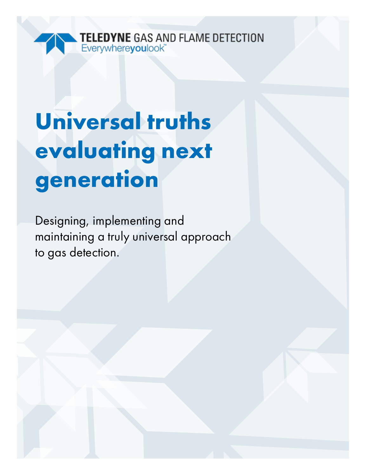

# **Universal truths evaluating next generation**

Designing, implementing and maintaining a truly universal approach to gas detection.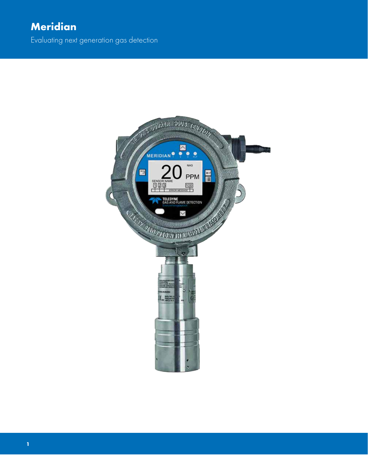Evaluating next generation gas detection

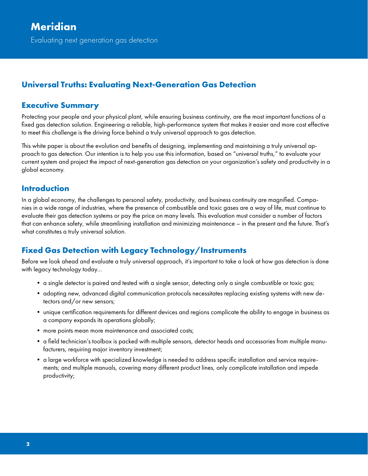# **Universal Truths: Evaluating Next-Generation Gas Detection**

#### **Executive Summary**

Protecting your people and your physical plant, while ensuring business continuity, are the most important functions of a fixed gas detection solution. Engineering a reliable, high-performance system that makes it easier and more cost effective to meet this challenge is the driving force behind a truly universal approach to gas detection.

This white paper is about the evolution and benefits of designing, implementing and maintaining a truly universal approach to gas detection. Our intention is to help you use this information, based on "universal truths," to evaluate your current system and project the impact of next-generation gas detection on your organization's safety and productivity in a global economy.

#### **Introduction**

In a global economy, the challenges to personal safety, productivity, and business continuity are magnified. Companies in a wide range of industries, where the presence of combustible and toxic gases are a way of life, must continue to evaluate their gas detection systems or pay the price on many levels. This evaluation must consider a number of factors that can enhance safety, while streamlining installation and minimizing maintenance – in the present and the future. That's what constitutes a truly universal solution.

# **Fixed Gas Detection with Legacy Technology/Instruments**

Before we look ahead and evaluate a truly universal approach, it's important to take a look at how gas detection is done with legacy technology today…

- a single detector is paired and tested with a single sensor, detecting only a single combustible or toxic gas;
- adopting new, advanced digital communication protocols necessitates replacing existing systems with new detectors and/or new sensors;
- unique certification requirements for different devices and regions complicate the ability to engage in business as a company expands its operations globally;
- more points mean more maintenance and associated costs;
- a field technician's toolbox is packed with multiple sensors, detector heads and accessories from multiple manufacturers, requiring major inventory investment;
- a large workforce with specialized knowledge is needed to address specific installation and service requirements; and multiple manuals, covering many different product lines, only complicate installation and impede productivity;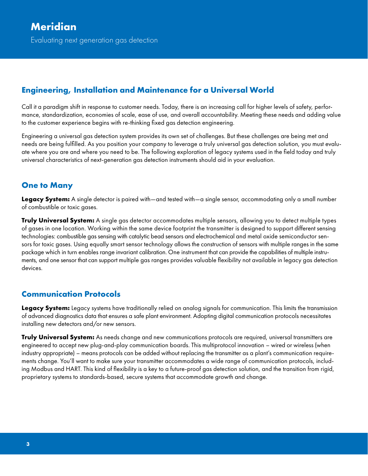#### **Engineering, Installation and Maintenance for a Universal World**

Call it a paradigm shift in response to customer needs. Today, there is an increasing call for higher levels of safety, performance, standardization, economies of scale, ease of use, and overall accountability. Meeting these needs and adding value to the customer experience begins with re-thinking fixed gas detection engineering.

Engineering a universal gas detection system provides its own set of challenges. But these challenges are being met and needs are being fulfilled. As you position your company to leverage a truly universal gas detection solution, you must evaluate where you are and where you need to be. The following exploration of legacy systems used in the field today and truly universal characteristics of next-generation gas detection instruments should aid in your evaluation.

#### **One to Many**

**Legacy System:** A single detector is paired with—and tested with—a single sensor, accommodating only a small number of combustible or toxic gases.

**Truly Universal System:** A single gas detector accommodates multiple sensors, allowing you to detect multiple types of gases in one location. Working within the same device footprint the transmitter is designed to support different sensing technologies: combustible gas sensing with catalytic bead sensors and electrochemical and metal oxide semiconductor sensors for toxic gases. Using equally smart sensor technology allows the construction of sensors with multiple ranges in the same package which in turn enables range invariant calibration. One instrument that can provide the capabilities of multiple instruments, and one sensor that can support multiple gas ranges provides valuable flexibility not available in legacy gas detection devices.

#### **Communication Protocols**

**Legacy System:** Legacy systems have traditionally relied on analog signals for communication. This limits the transmission of advanced diagnostics data that ensures a safe plant environment. Adopting digital communication protocols necessitates installing new detectors and/or new sensors.

**Truly Universal System:** As needs change and new communications protocols are required, universal transmitters are engineered to accept new plug-and-play communication boards. This multiprotocol innovation – wired or wireless (when industry appropriate) – means protocols can be added without replacing the transmitter as a plant's communication requirements change. You'll want to make sure your transmitter accommodates a wide range of communication protocols, including Modbus and HART. This kind of flexibility is a key to a future-proof gas detection solution, and the transition from rigid, proprietary systems to standards-based, secure systems that accommodate growth and change.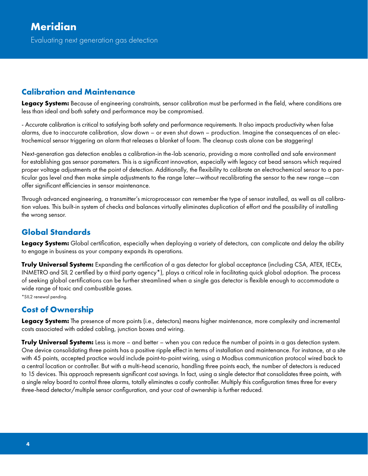#### **Calibration and Maintenance**

**Legacy System:** Because of engineering constraints, sensor calibration must be performed in the field, where conditions are less than ideal and both safety and performance may be compromised.

- Accurate calibration is critical to satisfying both safety and performance requirements. It also impacts productivity when false alarms, due to inaccurate calibration, slow down – or even shut down – production. Imagine the consequences of an electrochemical sensor triggering an alarm that releases a blanket of foam. The cleanup costs alone can be staggering!

Next-generation gas detection enables a calibration-in the-lab scenario, providing a more controlled and safe environment for establishing gas sensor parameters. This is a significant innovation, especially with legacy cat bead sensors which required proper voltage adjustments at the point of detection. Additionally, the flexibility to calibrate an electrochemical sensor to a particular gas level and then make simple adjustments to the range later—without recalibrating the sensor to the new range—can offer significant efficiencies in sensor maintenance.

Through advanced engineering, a transmitter's microprocessor can remember the type of sensor installed, as well as all calibration values. This built-in system of checks and balances virtually eliminates duplication of effort and the possibility of installing the wrong sensor.

# **Global Standards**

**Legacy System:** Global certification, especially when deploying a variety of detectors, can complicate and delay the ability to engage in business as your company expands its operations.

**Truly Universal System:** Expanding the certification of a gas detector for global acceptance (including CSA, ATEX, IECEx, INMETRO and SIL 2 certified by a third party agency\*), plays a critical role in facilitating quick global adoption. The process of seeking global certifications can be further streamlined when a single gas detector is flexible enough to accommodate a wide range of toxic and combustible gases.

\*SIL2 renewal pending.

# **Cost of Ownership**

**Legacy System:** The presence of more points (i.e., detectors) means higher maintenance, more complexity and incremental costs associated with added cabling, junction boxes and wiring.

**Truly Universal System:** Less is more – and better – when you can reduce the number of points in a gas detection system. One device consolidating three points has a positive ripple effect in terms of installation and maintenance. For instance, at a site with 45 points, accepted practice would include point-to-point wiring, using a Modbus communication protocol wired back to a central location or controller. But with a multi-head scenario, handling three points each, the number of detectors is reduced to 15 devices. This approach represents significant cost savings. In fact, using a single detector that consolidates three points, with a single relay board to control three alarms, totally eliminates a costly controller. Multiply this configuration times three for every three-head detector/multiple sensor configuration, and your cost of ownership is further reduced.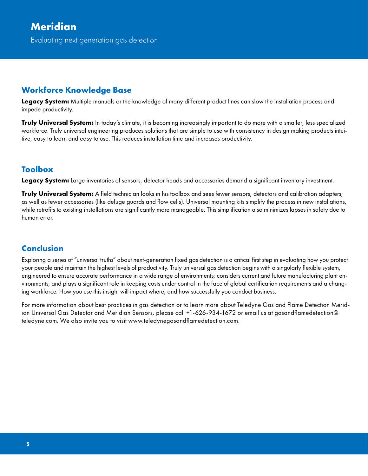Evaluating next generation gas detection

#### **Workforce Knowledge Base**

**Legacy System:** Multiple manuals or the knowledge of many different product lines can slow the installation process and impede productivity.

**Truly Universal System:** In today's climate, it is becoming increasingly important to do more with a smaller, less specialized workforce. Truly universal engineering produces solutions that are simple to use with consistency in design making products intuitive, easy to learn and easy to use. This reduces installation time and increases productivity.

#### **Toolbox**

**Legacy System:** Large inventories of sensors, detector heads and accessories demand a significant inventory investment.

**Truly Universal System:** A field technician looks in his toolbox and sees fewer sensors, detectors and calibration adapters, as well as fewer accessories (like deluge guards and flow cells). Universal mounting kits simplify the process in new installations, while retrofits to existing installations are significantly more manageable. This simplification also minimizes lapses in safety due to human error.

# **Conclusion**

Exploring a series of "universal truths" about next-generation fixed gas detection is a critical first step in evaluating how you protect your people and maintain the highest levels of productivity. Truly universal gas detection begins with a singularly flexible system, engineered to ensure accurate performance in a wide range of environments; considers current and future manufacturing plant environments; and plays a significant role in keeping costs under control in the face of global certification requirements and a changing workforce. How you use this insight will impact where, and how successfully you conduct business.

For more information about best practices in gas detection or to learn more about Teledyne Gas and Flame Detection Meridian Universal Gas Detector and Meridian Sensors, please call +1-626-934-1672 or email us at gasandflamedetection@ teledyne.com. We also invite you to visit www.teledynegasandflamedetection.com.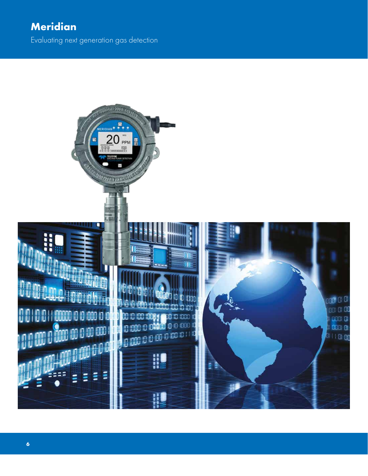# **Meridian**

Evaluating next generation gas detection